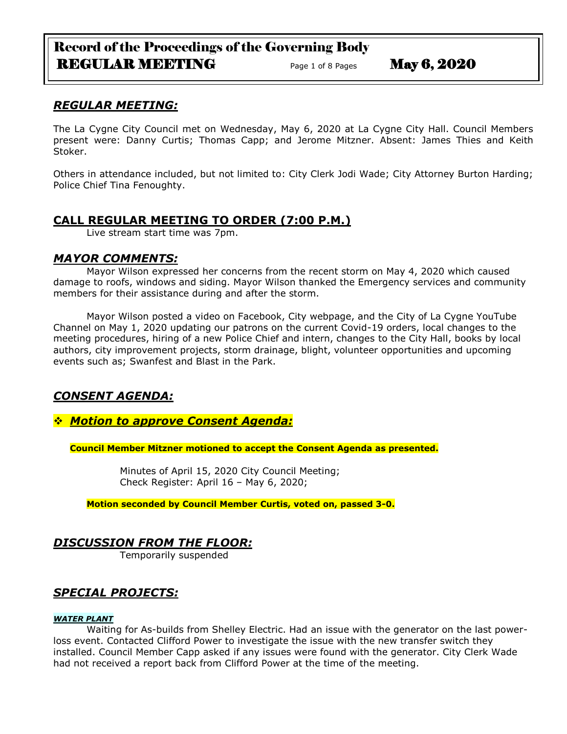# Record of the Proceedings of the Governing Body REGULAR MEETING Page 1 of 8 Pages May 6, 2020

## *REGULAR MEETING:*

The La Cygne City Council met on Wednesday, May 6, 2020 at La Cygne City Hall. Council Members present were: Danny Curtis; Thomas Capp; and Jerome Mitzner. Absent: James Thies and Keith Stoker.

Others in attendance included, but not limited to: City Clerk Jodi Wade; City Attorney Burton Harding; Police Chief Tina Fenoughty.

## **CALL REGULAR MEETING TO ORDER (7:00 P.M.)**

Live stream start time was 7pm.

### *MAYOR COMMENTS:*

Mayor Wilson expressed her concerns from the recent storm on May 4, 2020 which caused damage to roofs, windows and siding. Mayor Wilson thanked the Emergency services and community members for their assistance during and after the storm.

Mayor Wilson posted a video on Facebook, City webpage, and the City of La Cygne YouTube Channel on May 1, 2020 updating our patrons on the current Covid-19 orders, local changes to the meeting procedures, hiring of a new Police Chief and intern, changes to the City Hall, books by local authors, city improvement projects, storm drainage, blight, volunteer opportunities and upcoming events such as; Swanfest and Blast in the Park.

# *CONSENT AGENDA:*

## *Motion to approve Consent Agenda:*

**Council Member Mitzner motioned to accept the Consent Agenda as presented.**

Minutes of April 15, 2020 City Council Meeting; Check Register: April 16 – May 6, 2020;

**Motion seconded by Council Member Curtis, voted on, passed 3-0.** 

## *DISCUSSION FROM THE FLOOR:*

Temporarily suspended

# *SPECIAL PROJECTS:*

#### *WATER PLANT*

Waiting for As-builds from Shelley Electric. Had an issue with the generator on the last powerloss event. Contacted Clifford Power to investigate the issue with the new transfer switch they installed. Council Member Capp asked if any issues were found with the generator. City Clerk Wade had not received a report back from Clifford Power at the time of the meeting.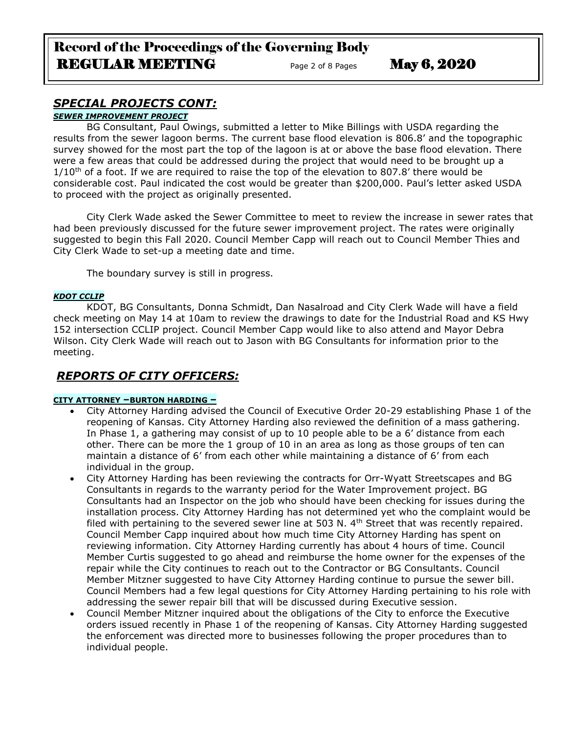# Record of the Proceedings of the Governing Body REGULAR MEETING Page 2 of 8 Pages May 6, 2020

# *SPECIAL PROJECTS CONT:*

#### *SEWER IMPROVEMENT PROJECT*

BG Consultant, Paul Owings, submitted a letter to Mike Billings with USDA regarding the results from the sewer lagoon berms. The current base flood elevation is 806.8' and the topographic survey showed for the most part the top of the lagoon is at or above the base flood elevation. There were a few areas that could be addressed during the project that would need to be brought up a  $1/10<sup>th</sup>$  of a foot. If we are required to raise the top of the elevation to 807.8' there would be considerable cost. Paul indicated the cost would be greater than \$200,000. Paul's letter asked USDA to proceed with the project as originally presented.

City Clerk Wade asked the Sewer Committee to meet to review the increase in sewer rates that had been previously discussed for the future sewer improvement project. The rates were originally suggested to begin this Fall 2020. Council Member Capp will reach out to Council Member Thies and City Clerk Wade to set-up a meeting date and time.

The boundary survey is still in progress.

#### *KDOT CCLIP*

KDOT, BG Consultants, Donna Schmidt, Dan Nasalroad and City Clerk Wade will have a field check meeting on May 14 at 10am to review the drawings to date for the Industrial Road and KS Hwy 152 intersection CCLIP project. Council Member Capp would like to also attend and Mayor Debra Wilson. City Clerk Wade will reach out to Jason with BG Consultants for information prior to the meeting.

## *REPORTS OF CITY OFFICERS:*

#### **CITY ATTORNEY –BURTON HARDING –**

- City Attorney Harding advised the Council of Executive Order 20-29 establishing Phase 1 of the reopening of Kansas. City Attorney Harding also reviewed the definition of a mass gathering. In Phase 1, a gathering may consist of up to 10 people able to be a 6' distance from each other. There can be more the 1 group of 10 in an area as long as those groups of ten can maintain a distance of 6' from each other while maintaining a distance of 6' from each individual in the group.
- City Attorney Harding has been reviewing the contracts for Orr-Wyatt Streetscapes and BG Consultants in regards to the warranty period for the Water Improvement project. BG Consultants had an Inspector on the job who should have been checking for issues during the installation process. City Attorney Harding has not determined yet who the complaint would be filed with pertaining to the severed sewer line at 503 N.  $4<sup>th</sup>$  Street that was recently repaired. Council Member Capp inquired about how much time City Attorney Harding has spent on reviewing information. City Attorney Harding currently has about 4 hours of time. Council Member Curtis suggested to go ahead and reimburse the home owner for the expenses of the repair while the City continues to reach out to the Contractor or BG Consultants. Council Member Mitzner suggested to have City Attorney Harding continue to pursue the sewer bill. Council Members had a few legal questions for City Attorney Harding pertaining to his role with addressing the sewer repair bill that will be discussed during Executive session.
- Council Member Mitzner inquired about the obligations of the City to enforce the Executive orders issued recently in Phase 1 of the reopening of Kansas. City Attorney Harding suggested the enforcement was directed more to businesses following the proper procedures than to individual people.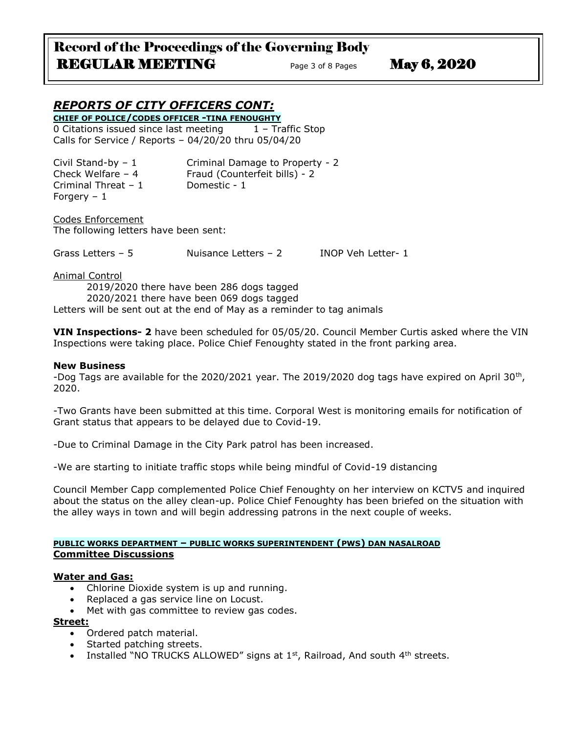# Record of the Proceedings of the Governing Body REGULAR MEETING Page 3 of 8 Pages May 6, 2020

# *REPORTS OF CITY OFFICERS CONT:*

**CHIEF OF POLICE/CODES OFFICER -TINA FENOUGHTY** 0 Citations issued since last meeting  $1 -$  Traffic Stop Calls for Service / Reports – 04/20/20 thru 05/04/20

| Civil Stand-by $-1$  | Criminal Damage to Property - 2 |
|----------------------|---------------------------------|
| Check Welfare $-4$   | Fraud (Counterfeit bills) - 2   |
| Criminal Threat $-1$ | Domestic - 1                    |
| Forgery $-1$         |                                 |

Codes Enforcement The following letters have been sent:

Grass Letters – 5 Nuisance Letters – 2 INOP Veh Letter- 1

Animal Control

2019/2020 there have been 286 dogs tagged 2020/2021 there have been 069 dogs tagged Letters will be sent out at the end of May as a reminder to tag animals

**VIN Inspections- 2** have been scheduled for 05/05/20. Council Member Curtis asked where the VIN Inspections were taking place. Police Chief Fenoughty stated in the front parking area.

#### **New Business**

-Dog Tags are available for the 2020/2021 year. The 2019/2020 dog tags have expired on April 30<sup>th</sup>, 2020.

-Two Grants have been submitted at this time. Corporal West is monitoring emails for notification of Grant status that appears to be delayed due to Covid-19.

-Due to Criminal Damage in the City Park patrol has been increased.

-We are starting to initiate traffic stops while being mindful of Covid-19 distancing

Council Member Capp complemented Police Chief Fenoughty on her interview on KCTV5 and inquired about the status on the alley clean-up. Police Chief Fenoughty has been briefed on the situation with the alley ways in town and will begin addressing patrons in the next couple of weeks.

#### **PUBLIC WORKS DEPARTMENT – PUBLIC WORKS SUPERINTENDENT (PWS) DAN NASALROAD Committee Discussions**

#### **Water and Gas:**

- Chlorine Dioxide system is up and running.
- Replaced a gas service line on Locust.
- Met with gas committee to review gas codes.

#### **Street:**

- Ordered patch material.
- Started patching streets.
- Installed "NO TRUCKS ALLOWED" signs at  $1<sup>st</sup>$ , Railroad, And south  $4<sup>th</sup>$  streets.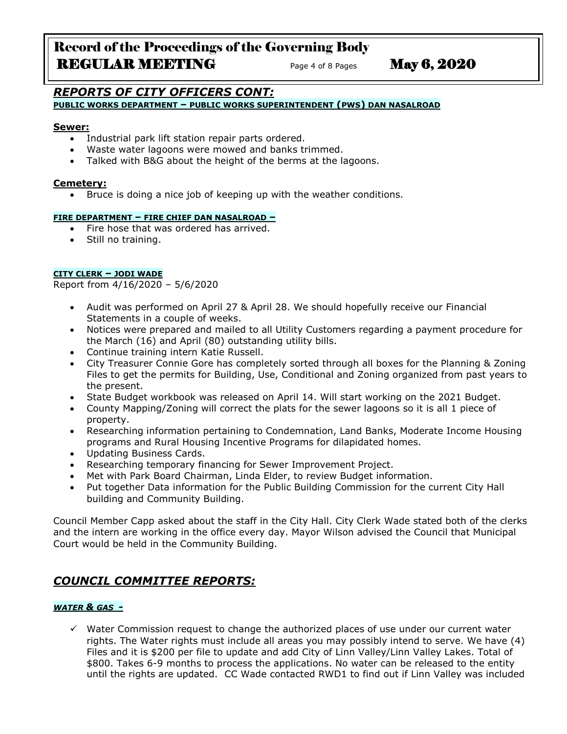# Record of the Proceedings of the Governing Body REGULAR MEETING Page 4 of 8 Pages May 6, 2020

# *REPORTS OF CITY OFFICERS CONT:*

**PUBLIC WORKS DEPARTMENT – PUBLIC WORKS SUPERINTENDENT (PWS) DAN NASALROAD**

#### **Sewer:**

- Industrial park lift station repair parts ordered.
- Waste water lagoons were mowed and banks trimmed.
- Talked with B&G about the height of the berms at the lagoons.

#### **Cemetery:**

Bruce is doing a nice job of keeping up with the weather conditions.

#### **FIRE DEPARTMENT – FIRE CHIEF DAN NASALROAD –**

- Fire hose that was ordered has arrived.
- Still no training.

#### **CITY CLERK – JODI WADE**

Report from 4/16/2020 – 5/6/2020

- Audit was performed on April 27 & April 28. We should hopefully receive our Financial Statements in a couple of weeks.
- Notices were prepared and mailed to all Utility Customers regarding a payment procedure for the March (16) and April (80) outstanding utility bills.
- Continue training intern Katie Russell.
- City Treasurer Connie Gore has completely sorted through all boxes for the Planning & Zoning Files to get the permits for Building, Use, Conditional and Zoning organized from past years to the present.
- State Budget workbook was released on April 14. Will start working on the 2021 Budget.
- County Mapping/Zoning will correct the plats for the sewer lagoons so it is all 1 piece of property.
- Researching information pertaining to Condemnation, Land Banks, Moderate Income Housing programs and Rural Housing Incentive Programs for dilapidated homes.
- Updating Business Cards.
- Researching temporary financing for Sewer Improvement Project.
- Met with Park Board Chairman, Linda Elder, to review Budget information.
- Put together Data information for the Public Building Commission for the current City Hall building and Community Building.

Council Member Capp asked about the staff in the City Hall. City Clerk Wade stated both of the clerks and the intern are working in the office every day. Mayor Wilson advised the Council that Municipal Court would be held in the Community Building.

## *COUNCIL COMMITTEE REPORTS:*

#### *WATER & GAS -*

 $\checkmark$  Water Commission request to change the authorized places of use under our current water rights. The Water rights must include all areas you may possibly intend to serve. We have (4) Files and it is \$200 per file to update and add City of Linn Valley/Linn Valley Lakes. Total of \$800. Takes 6-9 months to process the applications. No water can be released to the entity until the rights are updated. CC Wade contacted RWD1 to find out if Linn Valley was included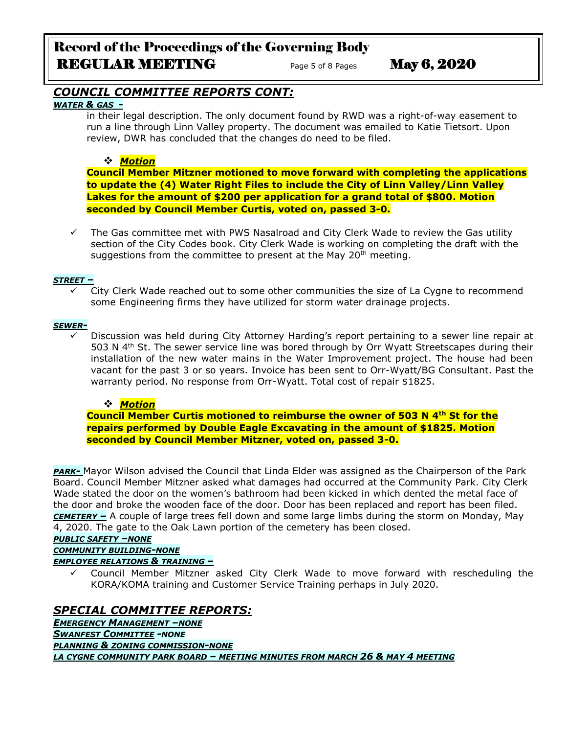# Record of the Proceedings of the Governing Body REGULAR MEETING Page 5 of 8 Pages May 6, 2020

## *COUNCIL COMMITTEE REPORTS CONT:*

#### *WATER & GAS -*

in their legal description. The only document found by RWD was a right-of-way easement to run a line through Linn Valley property. The document was emailed to Katie Tietsort. Upon review, DWR has concluded that the changes do need to be filed.

#### *Motion*

**Council Member Mitzner motioned to move forward with completing the applications to update the (4) Water Right Files to include the City of Linn Valley/Linn Valley Lakes for the amount of \$200 per application for a grand total of \$800. Motion seconded by Council Member Curtis, voted on, passed 3-0.** 

 $\checkmark$  The Gas committee met with PWS Nasalroad and City Clerk Wade to review the Gas utility section of the City Codes book. City Clerk Wade is working on completing the draft with the suggestions from the committee to present at the May 20<sup>th</sup> meeting.

#### *STREET –*

 City Clerk Wade reached out to some other communities the size of La Cygne to recommend some Engineering firms they have utilized for storm water drainage projects.

#### *SEWER-*

 $\checkmark$  Discussion was held during City Attorney Harding's report pertaining to a sewer line repair at 503 N  $4<sup>th</sup>$  St. The sewer service line was bored through by Orr Wyatt Streetscapes during their installation of the new water mains in the Water Improvement project. The house had been vacant for the past 3 or so years. Invoice has been sent to Orr-Wyatt/BG Consultant. Past the warranty period. No response from Orr-Wyatt. Total cost of repair \$1825.

#### *Motion*

**Council Member Curtis motioned to reimburse the owner of 503 N 4th St for the repairs performed by Double Eagle Excavating in the amount of \$1825. Motion seconded by Council Member Mitzner, voted on, passed 3-0.** 

*PARK-* Mayor Wilson advised the Council that Linda Elder was assigned as the Chairperson of the Park Board. Council Member Mitzner asked what damages had occurred at the Community Park. City Clerk Wade stated the door on the women's bathroom had been kicked in which dented the metal face of the door and broke the wooden face of the door. Door has been replaced and report has been filed. *CEMETERY –* A couple of large trees fell down and some large limbs during the storm on Monday, May 4, 2020. The gate to the Oak Lawn portion of the cemetery has been closed.

*PUBLIC SAFETY –NONE*

*COMMUNITY BUILDING-NONE*

#### *EMPLOYEE RELATIONS & TRAINING –*

 Council Member Mitzner asked City Clerk Wade to move forward with rescheduling the KORA/KOMA training and Customer Service Training perhaps in July 2020.

# *SPECIAL COMMITTEE REPORTS:*

*EMERGENCY MANAGEMENT –NONE SWANFEST COMMITTEE -NONE PLANNING & ZONING COMMISSION-NONE LA CYGNE COMMUNITY PARK BOARD – MEETING MINUTES FROM MARCH 26 & MAY 4 MEETING*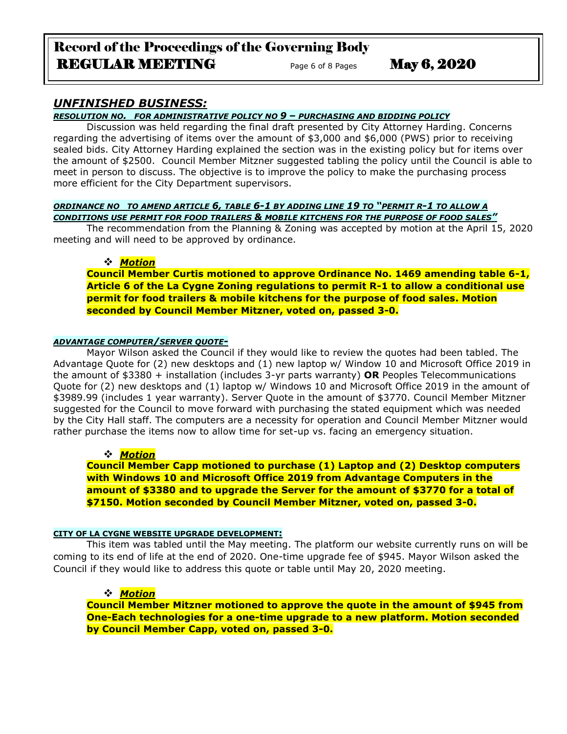# Record of the Proceedings of the Governing Body REGULAR MEETING Page 6 of 8 Pages May 6, 2020

### *UNFINISHED BUSINESS:*

*RESOLUTION NO. FOR ADMINISTRATIVE POLICY NO 9 – PURCHASING AND BIDDING POLICY*

Discussion was held regarding the final draft presented by City Attorney Harding. Concerns regarding the advertising of items over the amount of \$3,000 and \$6,000 (PWS) prior to receiving sealed bids. City Attorney Harding explained the section was in the existing policy but for items over the amount of \$2500. Council Member Mitzner suggested tabling the policy until the Council is able to meet in person to discuss. The objective is to improve the policy to make the purchasing process more efficient for the City Department supervisors.

#### *ORDINANCE NO TO AMEND ARTICLE 6, TABLE 6-1 BY ADDING LINE 19 TO "PERMIT R-1 TO ALLOW A CONDITIONS USE PERMIT FOR FOOD TRAILERS & MOBILE KITCHENS FOR THE PURPOSE OF FOOD SALES"*

The recommendation from the Planning & Zoning was accepted by motion at the April 15, 2020 meeting and will need to be approved by ordinance.

#### *Motion*

**Council Member Curtis motioned to approve Ordinance No. 1469 amending table 6-1, Article 6 of the La Cygne Zoning regulations to permit R-1 to allow a conditional use permit for food trailers & mobile kitchens for the purpose of food sales. Motion seconded by Council Member Mitzner, voted on, passed 3-0.** 

### *ADVANTAGE COMPUTER/SERVER QUOTE-*

Mayor Wilson asked the Council if they would like to review the quotes had been tabled. The Advantage Quote for (2) new desktops and (1) new laptop w/ Window 10 and Microsoft Office 2019 in the amount of \$3380 + installation (includes 3-yr parts warranty) **OR** Peoples Telecommunications Quote for (2) new desktops and (1) laptop w/ Windows 10 and Microsoft Office 2019 in the amount of \$3989.99 (includes 1 year warranty). Server Quote in the amount of \$3770. Council Member Mitzner suggested for the Council to move forward with purchasing the stated equipment which was needed by the City Hall staff. The computers are a necessity for operation and Council Member Mitzner would rather purchase the items now to allow time for set-up vs. facing an emergency situation.

#### *Motion*

**Council Member Capp motioned to purchase (1) Laptop and (2) Desktop computers with Windows 10 and Microsoft Office 2019 from Advantage Computers in the amount of \$3380 and to upgrade the Server for the amount of \$3770 for a total of \$7150. Motion seconded by Council Member Mitzner, voted on, passed 3-0.** 

#### **CITY OF LA CYGNE WEBSITE UPGRADE DEVELOPMENT:**

This item was tabled until the May meeting. The platform our website currently runs on will be coming to its end of life at the end of 2020. One-time upgrade fee of \$945. Mayor Wilson asked the Council if they would like to address this quote or table until May 20, 2020 meeting.

#### *Motion*

**Council Member Mitzner motioned to approve the quote in the amount of \$945 from One-Each technologies for a one-time upgrade to a new platform. Motion seconded by Council Member Capp, voted on, passed 3-0.**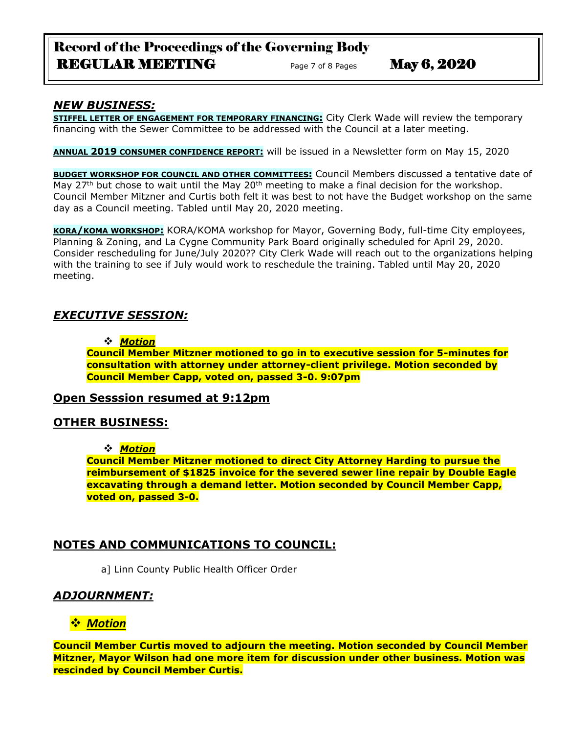# Record of the Proceedings of the Governing Body REGULAR MEETING Page 7 of 8 Pages May 6, 2020

## *NEW BUSINESS:*

**STIFFEL LETTER OF ENGAGEMENT FOR TEMPORARY FINANCING:** City Clerk Wade will review the temporary financing with the Sewer Committee to be addressed with the Council at a later meeting.

**ANNUAL 2019 CONSUMER CONFIDENCE REPORT:** will be issued in a Newsletter form on May 15, 2020

**BUDGET WORKSHOP FOR COUNCIL AND OTHER COMMITTEES:** Council Members discussed a tentative date of May 27<sup>th</sup> but chose to wait until the May 20<sup>th</sup> meeting to make a final decision for the workshop. Council Member Mitzner and Curtis both felt it was best to not have the Budget workshop on the same day as a Council meeting. Tabled until May 20, 2020 meeting.

**KORA/KOMA WORKSHOP:** KORA/KOMA workshop for Mayor, Governing Body, full-time City employees, Planning & Zoning, and La Cygne Community Park Board originally scheduled for April 29, 2020. Consider rescheduling for June/July 2020?? City Clerk Wade will reach out to the organizations helping with the training to see if July would work to reschedule the training. Tabled until May 20, 2020 meeting.

## *EXECUTIVE SESSION:*

#### *Motion*

**Council Member Mitzner motioned to go in to executive session for 5-minutes for consultation with attorney under attorney-client privilege. Motion seconded by Council Member Capp, voted on, passed 3-0. 9:07pm** 

### **Open Sesssion resumed at 9:12pm**

## **OTHER BUSINESS:**

### *Motion*

**Council Member Mitzner motioned to direct City Attorney Harding to pursue the reimbursement of \$1825 invoice for the severed sewer line repair by Double Eagle excavating through a demand letter. Motion seconded by Council Member Capp, voted on, passed 3-0.** 

# **NOTES AND COMMUNICATIONS TO COUNCIL:**

a] Linn County Public Health Officer Order

## *ADJOURNMENT:*

# *Motion*

**Council Member Curtis moved to adjourn the meeting. Motion seconded by Council Member Mitzner, Mayor Wilson had one more item for discussion under other business. Motion was rescinded by Council Member Curtis.**